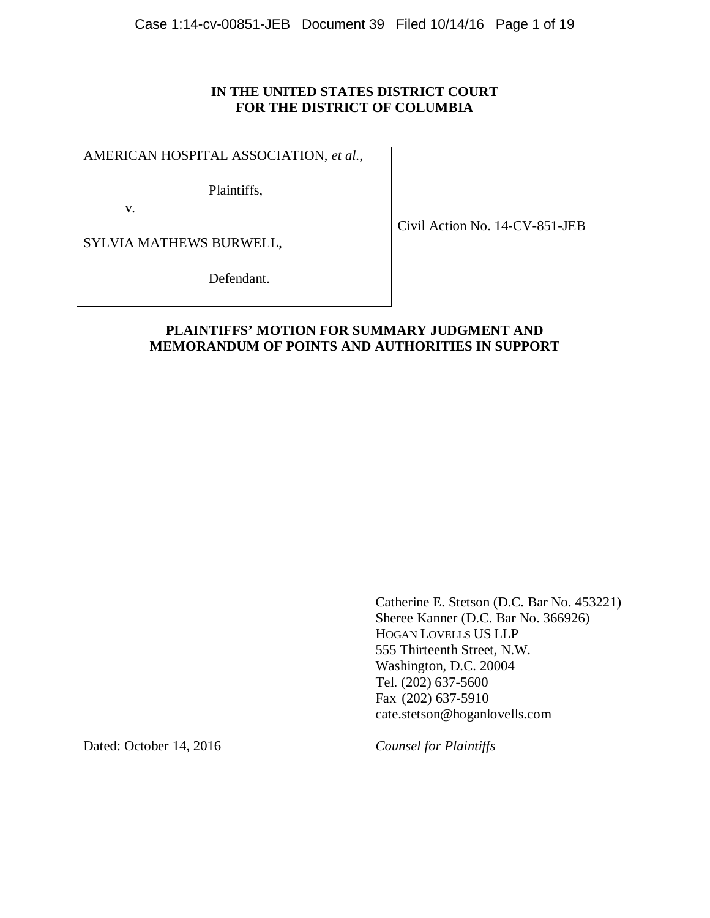## **IN THE UNITED STATES DISTRICT COURT FOR THE DISTRICT OF COLUMBIA**

AMERICAN HOSPITAL ASSOCIATION, *et al.*,

Plaintiffs,

v.

SYLVIA MATHEWS BURWELL,

Civil Action No. 14-CV-851-JEB

Defendant.

## **PLAINTIFFS' MOTION FOR SUMMARY JUDGMENT AND MEMORANDUM OF POINTS AND AUTHORITIES IN SUPPORT**

Catherine E. Stetson (D.C. Bar No. 453221) Sheree Kanner (D.C. Bar No. 366926) HOGAN LOVELLS US LLP 555 Thirteenth Street, N.W. Washington, D.C. 20004 Tel. (202) 637-5600 Fax (202) 637-5910 cate.stetson@hoganlovells.com

Dated: October 14, 2016 *Counsel for Plaintiffs*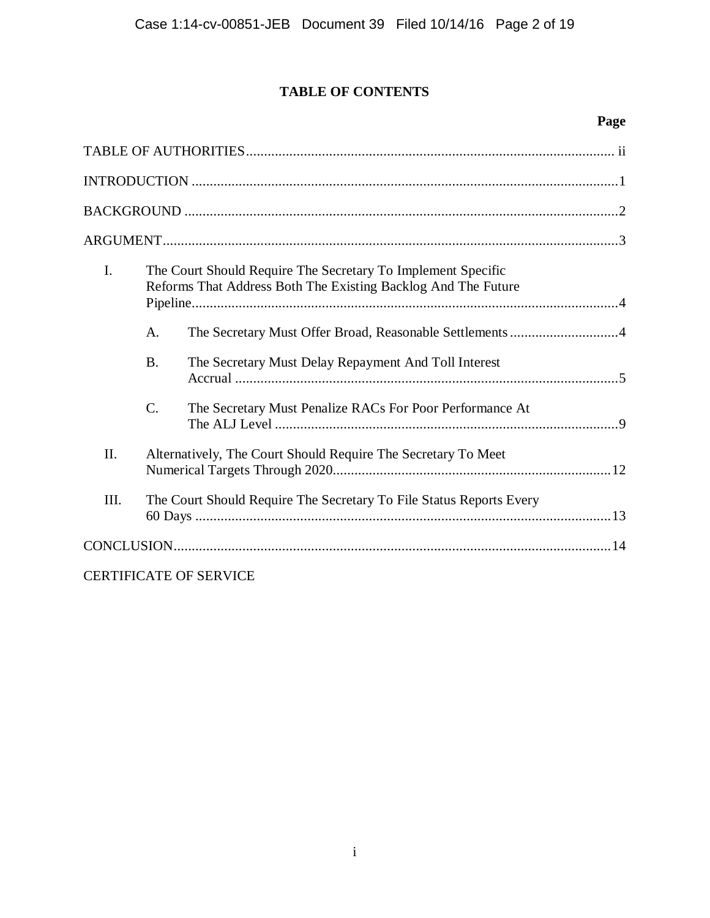# **TABLE OF CONTENTS**

# **Page**

| I.   | The Court Should Require The Secretary To Implement Specific<br>Reforms That Address Both The Existing Backlog And The Future |                                                               |  |
|------|-------------------------------------------------------------------------------------------------------------------------------|---------------------------------------------------------------|--|
|      | A.                                                                                                                            |                                                               |  |
|      | <b>B.</b>                                                                                                                     | The Secretary Must Delay Repayment And Toll Interest          |  |
|      | $\mathcal{C}$ .                                                                                                               | The Secretary Must Penalize RACs For Poor Performance At      |  |
| II.  |                                                                                                                               | Alternatively, The Court Should Require The Secretary To Meet |  |
| III. | The Court Should Require The Secretary To File Status Reports Every                                                           |                                                               |  |
|      |                                                                                                                               |                                                               |  |
|      |                                                                                                                               | <b>CERTIFICATE OF SERVICE</b>                                 |  |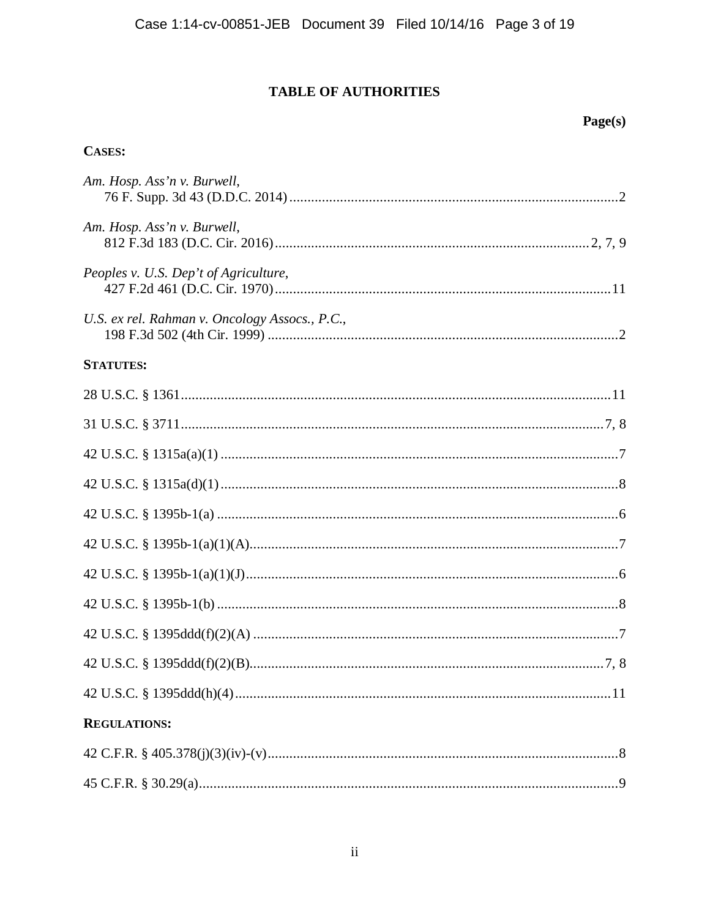# TABLE OF AUTHORITIES

| 70 |
|----|
|    |

# CASES:

| Am. Hosp. Ass'n v. Burwell,                    |
|------------------------------------------------|
| Am. Hosp. Ass'n v. Burwell,                    |
| Peoples v. U.S. Dep't of Agriculture,          |
| U.S. ex rel. Rahman v. Oncology Assocs., P.C., |
| <b>STATUTES:</b>                               |
|                                                |
|                                                |
|                                                |
|                                                |
|                                                |
|                                                |
|                                                |
|                                                |
|                                                |
|                                                |
|                                                |
| <b>REGULATIONS:</b>                            |
|                                                |
|                                                |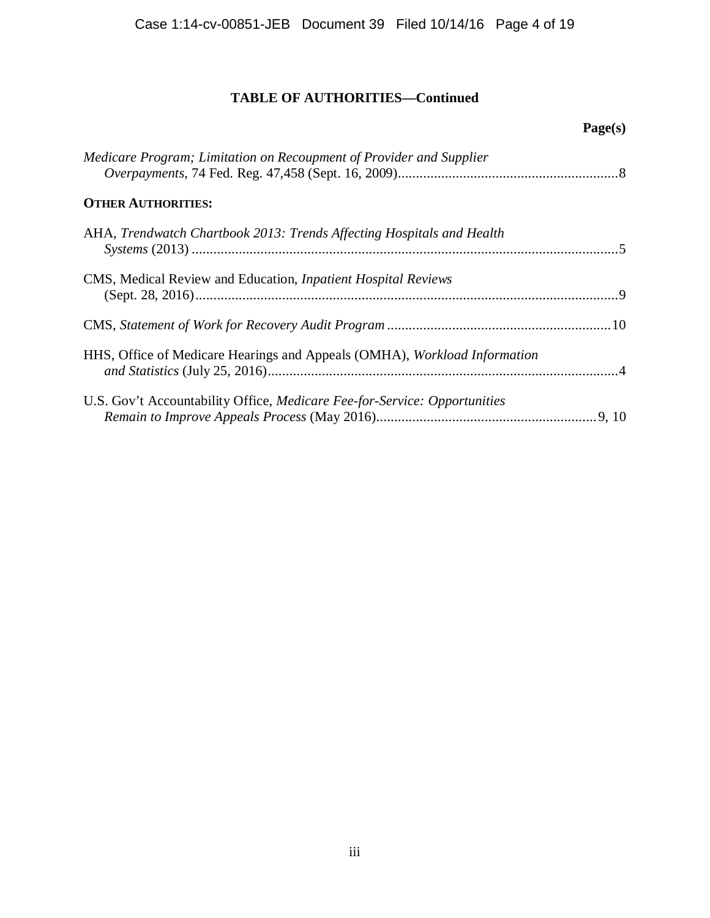# **TABLE OF AUTHORITIES—Continued**

# **Page(s)**

| Medicare Program; Limitation on Recoupment of Provider and Supplier       |  |
|---------------------------------------------------------------------------|--|
| <b>OTHER AUTHORITIES:</b>                                                 |  |
| AHA, Trendwatch Chartbook 2013: Trends Affecting Hospitals and Health     |  |
| CMS, Medical Review and Education, Inpatient Hospital Reviews             |  |
|                                                                           |  |
| HHS, Office of Medicare Hearings and Appeals (OMHA), Workload Information |  |
| U.S. Gov't Accountability Office, Medicare Fee-for-Service: Opportunities |  |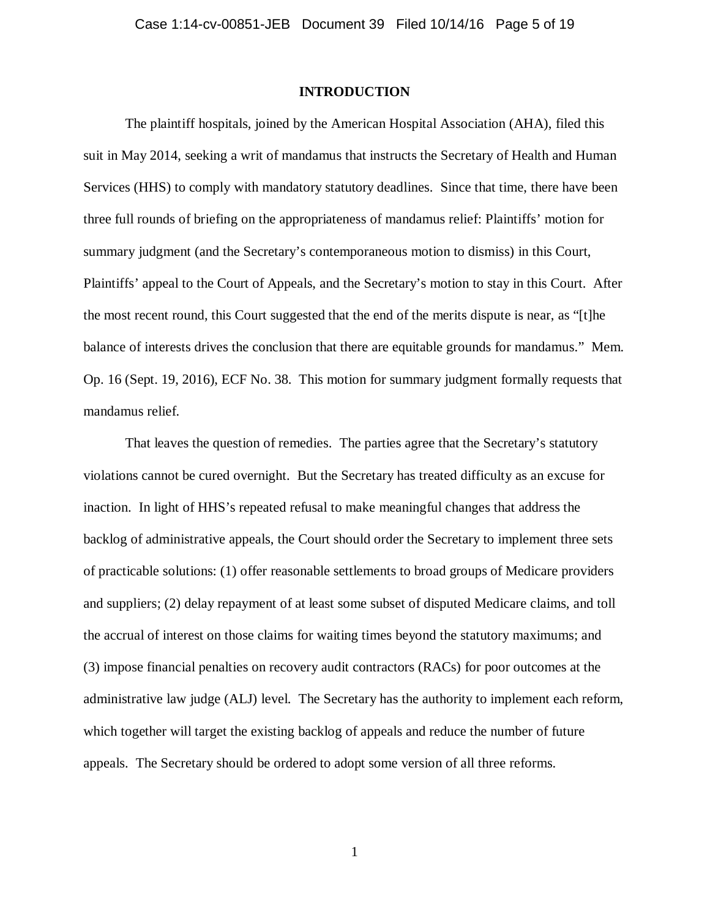### **INTRODUCTION**

The plaintiff hospitals, joined by the American Hospital Association (AHA), filed this suit in May 2014, seeking a writ of mandamus that instructs the Secretary of Health and Human Services (HHS) to comply with mandatory statutory deadlines. Since that time, there have been three full rounds of briefing on the appropriateness of mandamus relief: Plaintiffs' motion for summary judgment (and the Secretary's contemporaneous motion to dismiss) in this Court, Plaintiffs' appeal to the Court of Appeals, and the Secretary's motion to stay in this Court. After the most recent round, this Court suggested that the end of the merits dispute is near, as "[t]he balance of interests drives the conclusion that there are equitable grounds for mandamus." Mem. Op. 16 (Sept. 19, 2016), ECF No. 38. This motion for summary judgment formally requests that mandamus relief.

That leaves the question of remedies. The parties agree that the Secretary's statutory violations cannot be cured overnight. But the Secretary has treated difficulty as an excuse for inaction. In light of HHS's repeated refusal to make meaningful changes that address the backlog of administrative appeals, the Court should order the Secretary to implement three sets of practicable solutions: (1) offer reasonable settlements to broad groups of Medicare providers and suppliers; (2) delay repayment of at least some subset of disputed Medicare claims, and toll the accrual of interest on those claims for waiting times beyond the statutory maximums; and (3) impose financial penalties on recovery audit contractors (RACs) for poor outcomes at the administrative law judge (ALJ) level. The Secretary has the authority to implement each reform, which together will target the existing backlog of appeals and reduce the number of future appeals. The Secretary should be ordered to adopt some version of all three reforms.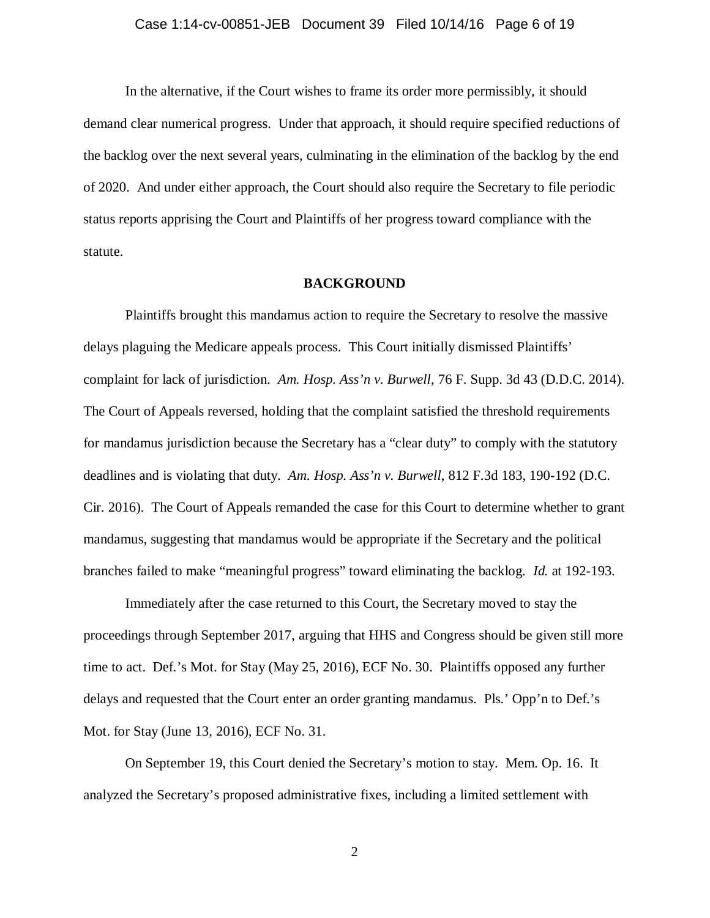#### Case 1:14-cv-00851-JEB Document 39 Filed 10/14/16 Page 6 of 19

In the alternative, if the Court wishes to frame its order more permissibly, it should demand clear numerical progress. Under that approach, it should require specified reductions of the backlog over the next several years, culminating in the elimination of the backlog by the end of 2020. And under either approach, the Court should also require the Secretary to file periodic status reports apprising the Court and Plaintiffs of her progress toward compliance with the statute.

### **BACKGROUND**

 Plaintiffs brought this mandamus action to require the Secretary to resolve the massive delays plaguing the Medicare appeals process. This Court initially dismissed Plaintiffs' complaint for lack of jurisdiction. *Am. Hosp. Ass'n v. Burwell*, 76 F. Supp. 3d 43 (D.D.C. 2014). The Court of Appeals reversed, holding that the complaint satisfied the threshold requirements for mandamus jurisdiction because the Secretary has a "clear duty" to comply with the statutory deadlines and is violating that duty. *Am. Hosp. Ass'n v. Burwell*, 812 F.3d 183, 190-192 (D.C. Cir. 2016). The Court of Appeals remanded the case for this Court to determine whether to grant mandamus, suggesting that mandamus would be appropriate if the Secretary and the political branches failed to make "meaningful progress" toward eliminating the backlog*. Id.* at 192-193.

Immediately after the case returned to this Court, the Secretary moved to stay the proceedings through September 2017, arguing that HHS and Congress should be given still more time to act. Def.'s Mot. for Stay (May 25, 2016), ECF No. 30. Plaintiffs opposed any further delays and requested that the Court enter an order granting mandamus. Pls.' Opp'n to Def.'s Mot. for Stay (June 13, 2016), ECF No. 31.

On September 19, this Court denied the Secretary's motion to stay. Mem. Op. 16. It analyzed the Secretary's proposed administrative fixes, including a limited settlement with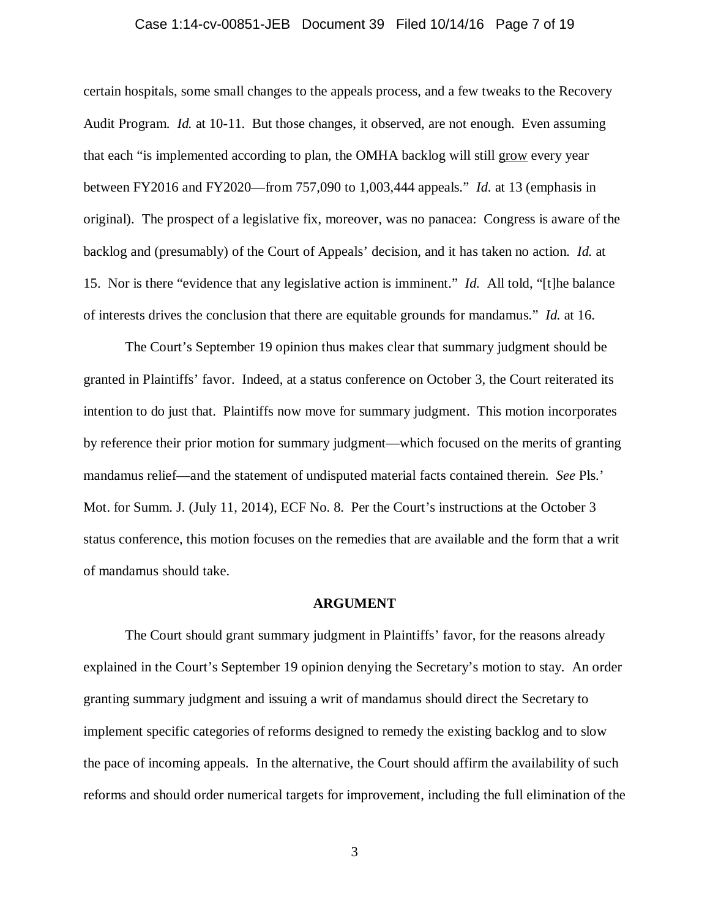### Case 1:14-cv-00851-JEB Document 39 Filed 10/14/16 Page 7 of 19

certain hospitals, some small changes to the appeals process, and a few tweaks to the Recovery Audit Program. *Id.* at 10-11. But those changes, it observed, are not enough. Even assuming that each "is implemented according to plan, the OMHA backlog will still grow every year between FY2016 and FY2020—from 757,090 to 1,003,444 appeals." *Id.* at 13 (emphasis in original). The prospect of a legislative fix, moreover, was no panacea: Congress is aware of the backlog and (presumably) of the Court of Appeals' decision, and it has taken no action. *Id.* at 15. Nor is there "evidence that any legislative action is imminent." *Id.* All told, "[t]he balance of interests drives the conclusion that there are equitable grounds for mandamus." *Id.* at 16.

The Court's September 19 opinion thus makes clear that summary judgment should be granted in Plaintiffs' favor. Indeed, at a status conference on October 3, the Court reiterated its intention to do just that. Plaintiffs now move for summary judgment. This motion incorporates by reference their prior motion for summary judgment—which focused on the merits of granting mandamus relief—and the statement of undisputed material facts contained therein. *See* Pls.' Mot. for Summ. J. (July 11, 2014), ECF No. 8. Per the Court's instructions at the October 3 status conference, this motion focuses on the remedies that are available and the form that a writ of mandamus should take.

#### **ARGUMENT**

 The Court should grant summary judgment in Plaintiffs' favor, for the reasons already explained in the Court's September 19 opinion denying the Secretary's motion to stay. An order granting summary judgment and issuing a writ of mandamus should direct the Secretary to implement specific categories of reforms designed to remedy the existing backlog and to slow the pace of incoming appeals. In the alternative, the Court should affirm the availability of such reforms and should order numerical targets for improvement, including the full elimination of the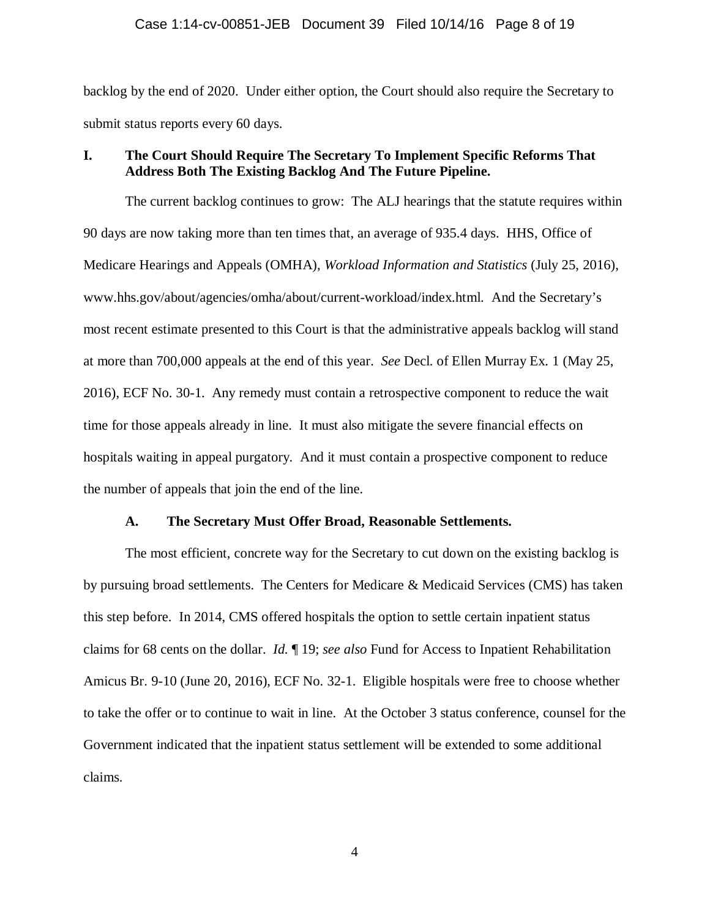#### Case 1:14-cv-00851-JEB Document 39 Filed 10/14/16 Page 8 of 19

backlog by the end of 2020. Under either option, the Court should also require the Secretary to submit status reports every 60 days.

## **I. The Court Should Require The Secretary To Implement Specific Reforms That Address Both The Existing Backlog And The Future Pipeline.**

The current backlog continues to grow: The ALJ hearings that the statute requires within 90 days are now taking more than ten times that, an average of 935.4 days. HHS, Office of Medicare Hearings and Appeals (OMHA), *Workload Information and Statistics* (July 25, 2016), www.hhs.gov/about/agencies/omha/about/current-workload/index.html. And the Secretary's most recent estimate presented to this Court is that the administrative appeals backlog will stand at more than 700,000 appeals at the end of this year. *See* Decl. of Ellen Murray Ex. 1 (May 25, 2016), ECF No. 30-1. Any remedy must contain a retrospective component to reduce the wait time for those appeals already in line. It must also mitigate the severe financial effects on hospitals waiting in appeal purgatory. And it must contain a prospective component to reduce the number of appeals that join the end of the line.

### **A. The Secretary Must Offer Broad, Reasonable Settlements.**

The most efficient, concrete way for the Secretary to cut down on the existing backlog is by pursuing broad settlements. The Centers for Medicare & Medicaid Services (CMS) has taken this step before. In 2014, CMS offered hospitals the option to settle certain inpatient status claims for 68 cents on the dollar. *Id.* ¶ 19; *see also* Fund for Access to Inpatient Rehabilitation Amicus Br. 9-10 (June 20, 2016), ECF No. 32-1. Eligible hospitals were free to choose whether to take the offer or to continue to wait in line. At the October 3 status conference, counsel for the Government indicated that the inpatient status settlement will be extended to some additional claims.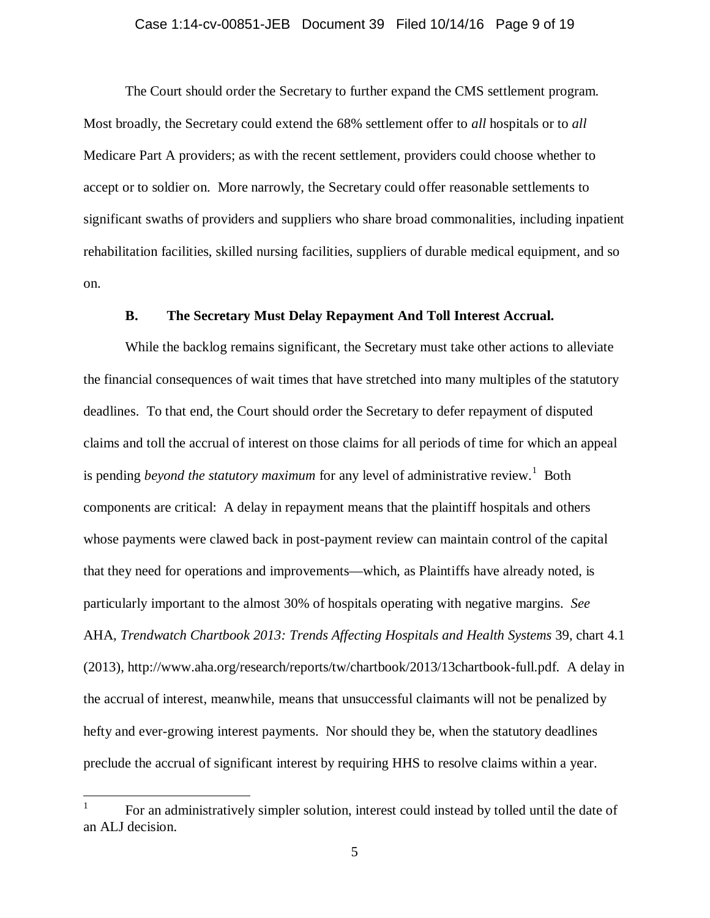#### Case 1:14-cv-00851-JEB Document 39 Filed 10/14/16 Page 9 of 19

The Court should order the Secretary to further expand the CMS settlement program. Most broadly, the Secretary could extend the 68% settlement offer to *all* hospitals or to *all* Medicare Part A providers; as with the recent settlement, providers could choose whether to accept or to soldier on. More narrowly, the Secretary could offer reasonable settlements to significant swaths of providers and suppliers who share broad commonalities, including inpatient rehabilitation facilities, skilled nursing facilities, suppliers of durable medical equipment, and so on.

### **B. The Secretary Must Delay Repayment And Toll Interest Accrual.**

While the backlog remains significant, the Secretary must take other actions to alleviate the financial consequences of wait times that have stretched into many multiples of the statutory deadlines. To that end, the Court should order the Secretary to defer repayment of disputed claims and toll the accrual of interest on those claims for all periods of time for which an appeal is pending *beyond the statutory maximum* for any level of administrative review.<sup>1</sup> Both components are critical: A delay in repayment means that the plaintiff hospitals and others whose payments were clawed back in post-payment review can maintain control of the capital that they need for operations and improvements—which, as Plaintiffs have already noted, is particularly important to the almost 30% of hospitals operating with negative margins. *See* AHA, *Trendwatch Chartbook 2013: Trends Affecting Hospitals and Health Systems* 39, chart 4.1 (2013), http://www.aha.org/research/reports/tw/chartbook/2013/13chartbook-full.pdf. A delay in the accrual of interest, meanwhile, means that unsuccessful claimants will not be penalized by hefty and ever-growing interest payments. Nor should they be, when the statutory deadlines preclude the accrual of significant interest by requiring HHS to resolve claims within a year.

 $\overline{a}$ 

<sup>1</sup> For an administratively simpler solution, interest could instead by tolled until the date of an ALJ decision.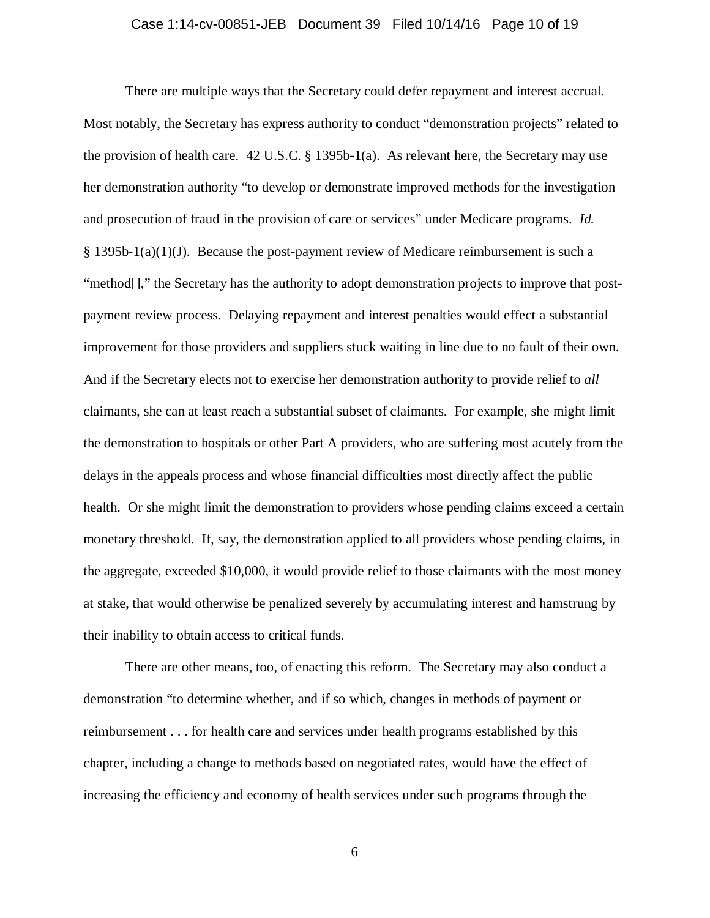#### Case 1:14-cv-00851-JEB Document 39 Filed 10/14/16 Page 10 of 19

There are multiple ways that the Secretary could defer repayment and interest accrual. Most notably, the Secretary has express authority to conduct "demonstration projects" related to the provision of health care.  $42 \text{ U.S.C.}$  § 1395b-1(a). As relevant here, the Secretary may use her demonstration authority "to develop or demonstrate improved methods for the investigation and prosecution of fraud in the provision of care or services" under Medicare programs. *Id.* § 1395b-1(a)(1)(J). Because the post-payment review of Medicare reimbursement is such a "method[]," the Secretary has the authority to adopt demonstration projects to improve that postpayment review process. Delaying repayment and interest penalties would effect a substantial improvement for those providers and suppliers stuck waiting in line due to no fault of their own. And if the Secretary elects not to exercise her demonstration authority to provide relief to *all* claimants, she can at least reach a substantial subset of claimants. For example, she might limit the demonstration to hospitals or other Part A providers, who are suffering most acutely from the delays in the appeals process and whose financial difficulties most directly affect the public health. Or she might limit the demonstration to providers whose pending claims exceed a certain monetary threshold. If, say, the demonstration applied to all providers whose pending claims, in the aggregate, exceeded \$10,000, it would provide relief to those claimants with the most money at stake, that would otherwise be penalized severely by accumulating interest and hamstrung by their inability to obtain access to critical funds.

There are other means, too, of enacting this reform. The Secretary may also conduct a demonstration "to determine whether, and if so which, changes in methods of payment or reimbursement . . . for health care and services under health programs established by this chapter, including a change to methods based on negotiated rates, would have the effect of increasing the efficiency and economy of health services under such programs through the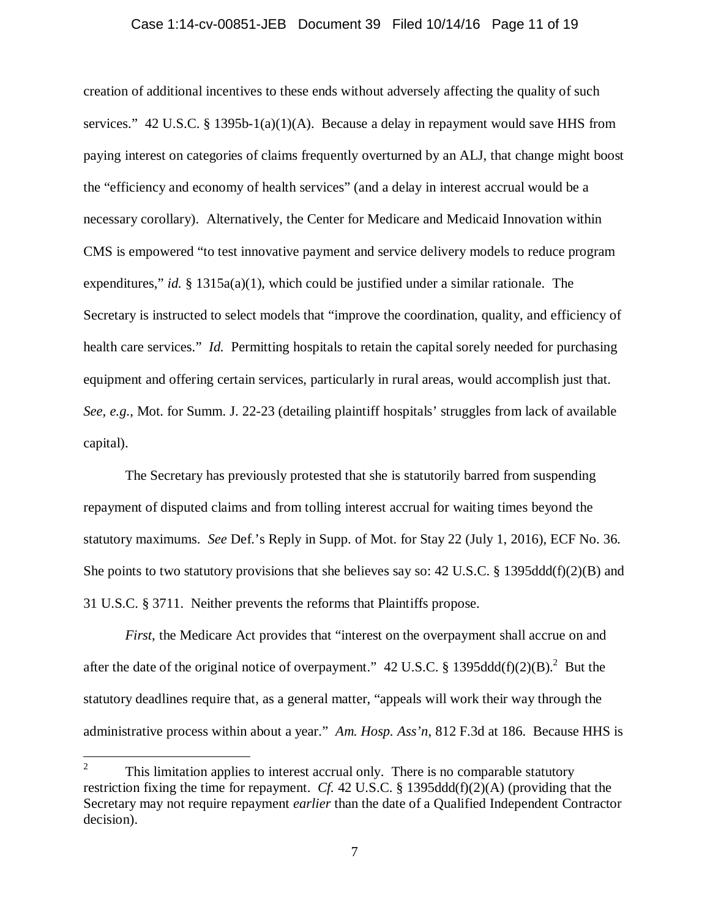#### Case 1:14-cv-00851-JEB Document 39 Filed 10/14/16 Page 11 of 19

creation of additional incentives to these ends without adversely affecting the quality of such services." 42 U.S.C. § 1395b-1(a)(1)(A). Because a delay in repayment would save HHS from paying interest on categories of claims frequently overturned by an ALJ, that change might boost the "efficiency and economy of health services" (and a delay in interest accrual would be a necessary corollary). Alternatively, the Center for Medicare and Medicaid Innovation within CMS is empowered "to test innovative payment and service delivery models to reduce program expenditures," *id.* § 1315a(a)(1), which could be justified under a similar rationale. The Secretary is instructed to select models that "improve the coordination, quality, and efficiency of health care services." *Id.* Permitting hospitals to retain the capital sorely needed for purchasing equipment and offering certain services, particularly in rural areas, would accomplish just that. *See, e.g.*, Mot. for Summ. J. 22-23 (detailing plaintiff hospitals' struggles from lack of available capital).

 The Secretary has previously protested that she is statutorily barred from suspending repayment of disputed claims and from tolling interest accrual for waiting times beyond the statutory maximums. *See* Def.'s Reply in Supp. of Mot. for Stay 22 (July 1, 2016), ECF No. 36. She points to two statutory provisions that she believes say so:  $42 \text{ U.S.C.}$  §  $1395\text{ddd}(f)(2)(B)$  and 31 U.S.C. § 3711. Neither prevents the reforms that Plaintiffs propose.

*First*, the Medicare Act provides that "interest on the overpayment shall accrue on and after the date of the original notice of overpayment." 42 U.S.C. § 1395ddd(f)(2)(B).<sup>2</sup> But the statutory deadlines require that, as a general matter, "appeals will work their way through the administrative process within about a year." *Am. Hosp. Ass'n*, 812 F.3d at 186. Because HHS is

 $\frac{1}{2}$  This limitation applies to interest accrual only. There is no comparable statutory restriction fixing the time for repayment. *Cf.* 42 U.S.C. § 1395ddd(f)(2)(A) (providing that the Secretary may not require repayment *earlier* than the date of a Qualified Independent Contractor decision).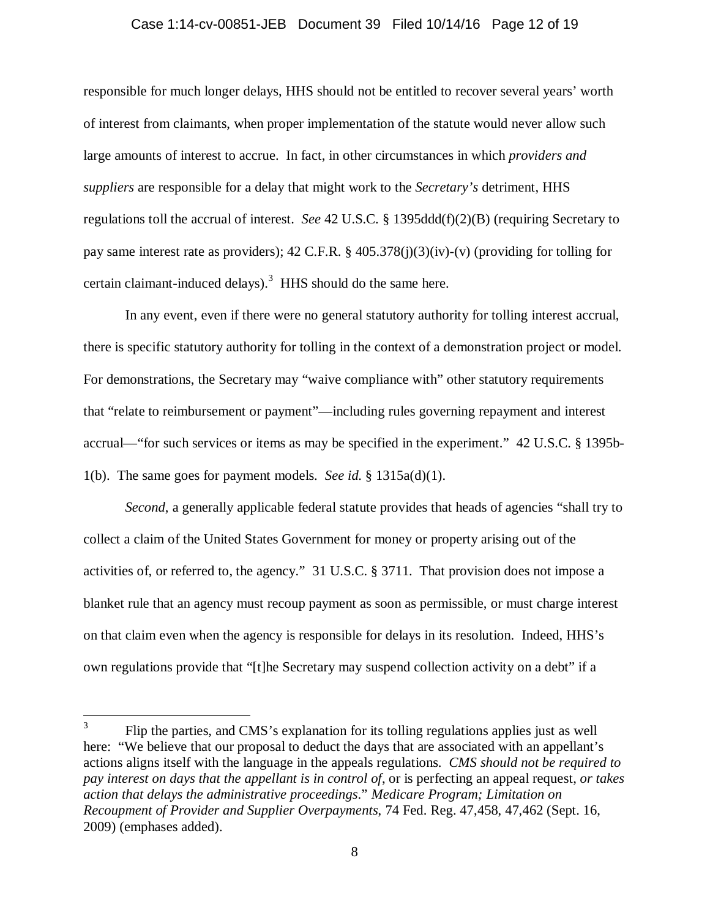#### Case 1:14-cv-00851-JEB Document 39 Filed 10/14/16 Page 12 of 19

responsible for much longer delays, HHS should not be entitled to recover several years' worth of interest from claimants, when proper implementation of the statute would never allow such large amounts of interest to accrue. In fact, in other circumstances in which *providers and suppliers* are responsible for a delay that might work to the *Secretary's* detriment, HHS regulations toll the accrual of interest. *See* 42 U.S.C. § 1395ddd(f)(2)(B) (requiring Secretary to pay same interest rate as providers); 42 C.F.R. § 405.378(j)(3)(iv)-(v) (providing for tolling for certain claimant-induced delays).<sup>3</sup> HHS should do the same here.

In any event, even if there were no general statutory authority for tolling interest accrual, there is specific statutory authority for tolling in the context of a demonstration project or model. For demonstrations, the Secretary may "waive compliance with" other statutory requirements that "relate to reimbursement or payment"—including rules governing repayment and interest accrual—"for such services or items as may be specified in the experiment." 42 U.S.C. § 1395b-1(b). The same goes for payment models. *See id.* § 1315a(d)(1).

*Second*, a generally applicable federal statute provides that heads of agencies "shall try to collect a claim of the United States Government for money or property arising out of the activities of, or referred to, the agency." 31 U.S.C. § 3711. That provision does not impose a blanket rule that an agency must recoup payment as soon as permissible, or must charge interest on that claim even when the agency is responsible for delays in its resolution. Indeed, HHS's own regulations provide that "[t]he Secretary may suspend collection activity on a debt" if a

 $\frac{1}{3}$  Flip the parties, and CMS's explanation for its tolling regulations applies just as well here: "We believe that our proposal to deduct the days that are associated with an appellant's actions aligns itself with the language in the appeals regulations. *CMS should not be required to pay interest on days that the appellant is in control of*, or is perfecting an appeal request, *or takes action that delays the administrative proceedings*." *Medicare Program; Limitation on Recoupment of Provider and Supplier Overpayments*, 74 Fed. Reg. 47,458, 47,462 (Sept. 16, 2009) (emphases added).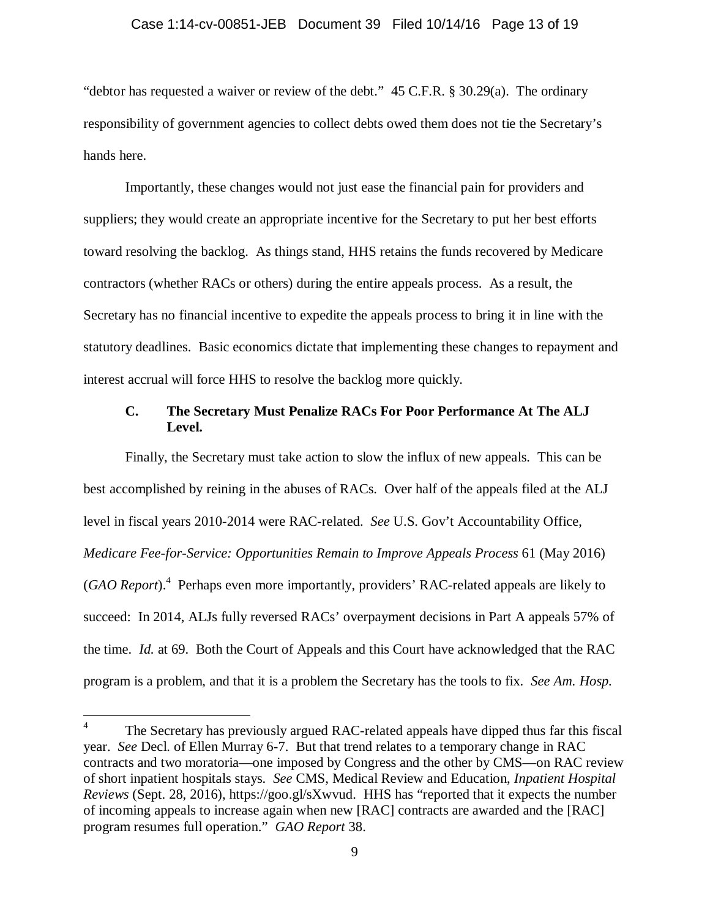#### Case 1:14-cv-00851-JEB Document 39 Filed 10/14/16 Page 13 of 19

"debtor has requested a waiver or review of the debt." 45 C.F.R. § 30.29(a). The ordinary responsibility of government agencies to collect debts owed them does not tie the Secretary's hands here.

Importantly, these changes would not just ease the financial pain for providers and suppliers; they would create an appropriate incentive for the Secretary to put her best efforts toward resolving the backlog. As things stand, HHS retains the funds recovered by Medicare contractors (whether RACs or others) during the entire appeals process. As a result, the Secretary has no financial incentive to expedite the appeals process to bring it in line with the statutory deadlines. Basic economics dictate that implementing these changes to repayment and interest accrual will force HHS to resolve the backlog more quickly.

## **C. The Secretary Must Penalize RACs For Poor Performance At The ALJ Level.**

Finally, the Secretary must take action to slow the influx of new appeals. This can be best accomplished by reining in the abuses of RACs. Over half of the appeals filed at the ALJ level in fiscal years 2010-2014 were RAC-related. *See* U.S. Gov't Accountability Office, *Medicare Fee-for-Service: Opportunities Remain to Improve Appeals Process* 61 (May 2016) (*GAO Report*).<sup>4</sup> Perhaps even more importantly, providers' RAC-related appeals are likely to succeed: In 2014, ALJs fully reversed RACs' overpayment decisions in Part A appeals 57% of the time. *Id.* at 69. Both the Court of Appeals and this Court have acknowledged that the RAC program is a problem, and that it is a problem the Secretary has the tools to fix. *See Am. Hosp.* 

 $\overline{a}$ 

<sup>4</sup> The Secretary has previously argued RAC-related appeals have dipped thus far this fiscal year. *See* Decl. of Ellen Murray 6-7. But that trend relates to a temporary change in RAC contracts and two moratoria—one imposed by Congress and the other by CMS—on RAC review of short inpatient hospitals stays. *See* CMS, Medical Review and Education, *Inpatient Hospital Reviews* (Sept. 28, 2016), https://goo.gl/sXwvud. HHS has "reported that it expects the number of incoming appeals to increase again when new [RAC] contracts are awarded and the [RAC] program resumes full operation." *GAO Report* 38.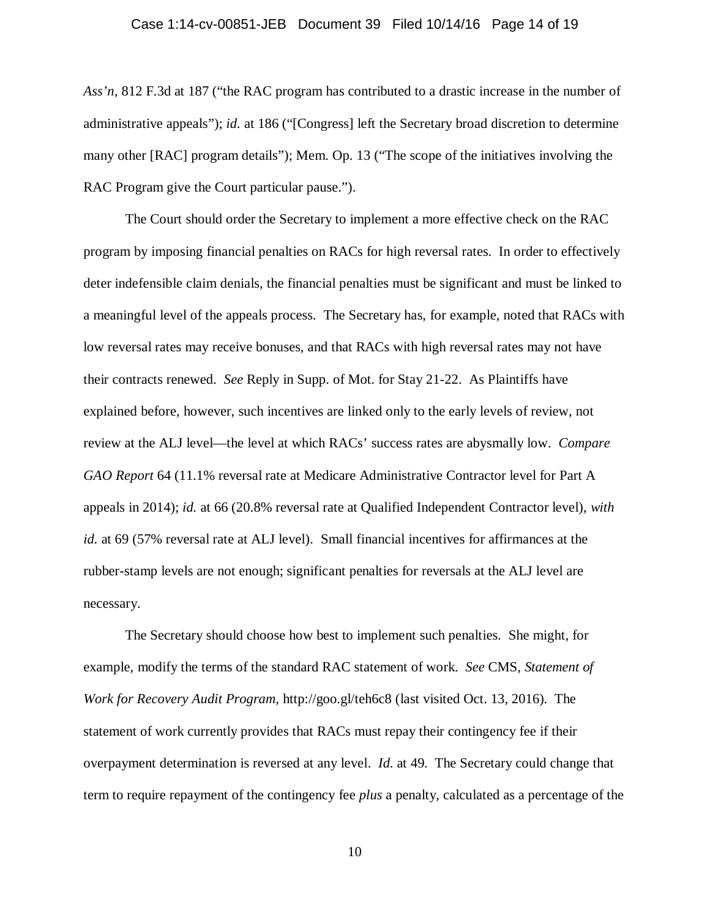#### Case 1:14-cv-00851-JEB Document 39 Filed 10/14/16 Page 14 of 19

*Ass'n*, 812 F.3d at 187 ("the RAC program has contributed to a drastic increase in the number of administrative appeals"); *id.* at 186 ("[Congress] left the Secretary broad discretion to determine many other [RAC] program details"); Mem. Op. 13 ("The scope of the initiatives involving the RAC Program give the Court particular pause.").

The Court should order the Secretary to implement a more effective check on the RAC program by imposing financial penalties on RACs for high reversal rates. In order to effectively deter indefensible claim denials, the financial penalties must be significant and must be linked to a meaningful level of the appeals process. The Secretary has, for example, noted that RACs with low reversal rates may receive bonuses, and that RACs with high reversal rates may not have their contracts renewed. *See* Reply in Supp. of Mot. for Stay 21-22. As Plaintiffs have explained before, however, such incentives are linked only to the early levels of review, not review at the ALJ level—the level at which RACs' success rates are abysmally low. *Compare GAO Report* 64 (11.1% reversal rate at Medicare Administrative Contractor level for Part A appeals in 2014); *id.* at 66 (20.8% reversal rate at Qualified Independent Contractor level), *with id.* at 69 (57% reversal rate at ALJ level). Small financial incentives for affirmances at the rubber-stamp levels are not enough; significant penalties for reversals at the ALJ level are necessary.

The Secretary should choose how best to implement such penalties. She might, for example, modify the terms of the standard RAC statement of work. *See* CMS, *Statement of Work for Recovery Audit Program*, http://goo.gl/teh6c8 (last visited Oct. 13, 2016). The statement of work currently provides that RACs must repay their contingency fee if their overpayment determination is reversed at any level. *Id.* at 49. The Secretary could change that term to require repayment of the contingency fee *plus* a penalty, calculated as a percentage of the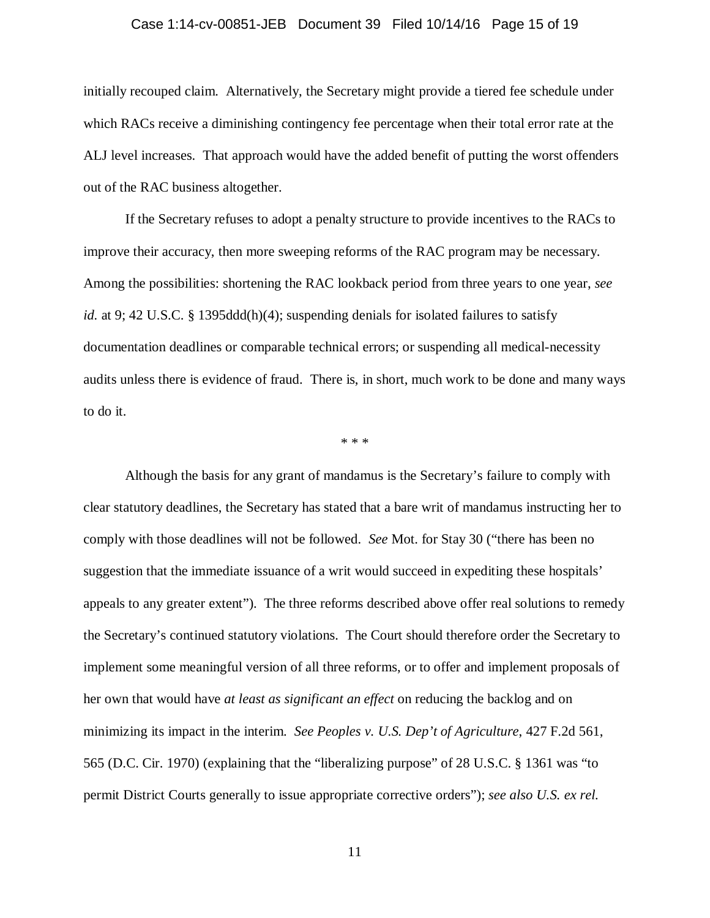#### Case 1:14-cv-00851-JEB Document 39 Filed 10/14/16 Page 15 of 19

initially recouped claim. Alternatively, the Secretary might provide a tiered fee schedule under which RACs receive a diminishing contingency fee percentage when their total error rate at the ALJ level increases. That approach would have the added benefit of putting the worst offenders out of the RAC business altogether.

If the Secretary refuses to adopt a penalty structure to provide incentives to the RACs to improve their accuracy, then more sweeping reforms of the RAC program may be necessary. Among the possibilities: shortening the RAC lookback period from three years to one year, *see id.* at 9; 42 U.S.C. § 1395ddd(h)(4); suspending denials for isolated failures to satisfy documentation deadlines or comparable technical errors; or suspending all medical-necessity audits unless there is evidence of fraud. There is, in short, much work to be done and many ways to do it.

\* \* \*

Although the basis for any grant of mandamus is the Secretary's failure to comply with clear statutory deadlines, the Secretary has stated that a bare writ of mandamus instructing her to comply with those deadlines will not be followed. *See* Mot. for Stay 30 ("there has been no suggestion that the immediate issuance of a writ would succeed in expediting these hospitals' appeals to any greater extent"). The three reforms described above offer real solutions to remedy the Secretary's continued statutory violations. The Court should therefore order the Secretary to implement some meaningful version of all three reforms, or to offer and implement proposals of her own that would have *at least as significant an effect* on reducing the backlog and on minimizing its impact in the interim. *See Peoples v. U.S. Dep't of Agriculture*, 427 F.2d 561, 565 (D.C. Cir. 1970) (explaining that the "liberalizing purpose" of 28 U.S.C. § 1361 was "to permit District Courts generally to issue appropriate corrective orders"); *see also U.S. ex rel.*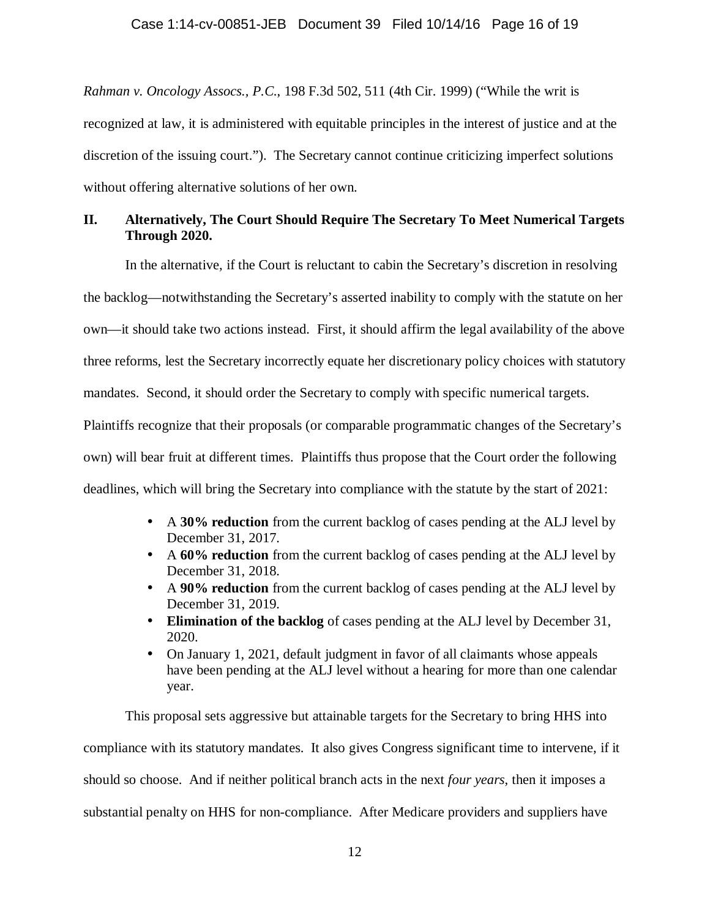*Rahman v. Oncology Assocs., P.C.*, 198 F.3d 502, 511 (4th Cir. 1999) ("While the writ is recognized at law, it is administered with equitable principles in the interest of justice and at the discretion of the issuing court."). The Secretary cannot continue criticizing imperfect solutions without offering alternative solutions of her own.

## **II. Alternatively, The Court Should Require The Secretary To Meet Numerical Targets Through 2020.**

In the alternative, if the Court is reluctant to cabin the Secretary's discretion in resolving the backlog—notwithstanding the Secretary's asserted inability to comply with the statute on her own—it should take two actions instead. First, it should affirm the legal availability of the above three reforms, lest the Secretary incorrectly equate her discretionary policy choices with statutory mandates. Second, it should order the Secretary to comply with specific numerical targets. Plaintiffs recognize that their proposals (or comparable programmatic changes of the Secretary's own) will bear fruit at different times. Plaintiffs thus propose that the Court order the following deadlines, which will bring the Secretary into compliance with the statute by the start of 2021:

- A **30% reduction** from the current backlog of cases pending at the ALJ level by December 31, 2017.
- A **60% reduction** from the current backlog of cases pending at the ALJ level by December 31, 2018.
- A **90% reduction** from the current backlog of cases pending at the ALJ level by December 31, 2019.
- **Elimination of the backlog** of cases pending at the ALJ level by December 31, 2020.
- On January 1, 2021, default judgment in favor of all claimants whose appeals have been pending at the ALJ level without a hearing for more than one calendar year.

This proposal sets aggressive but attainable targets for the Secretary to bring HHS into compliance with its statutory mandates. It also gives Congress significant time to intervene, if it should so choose. And if neither political branch acts in the next *four years*, then it imposes a substantial penalty on HHS for non-compliance. After Medicare providers and suppliers have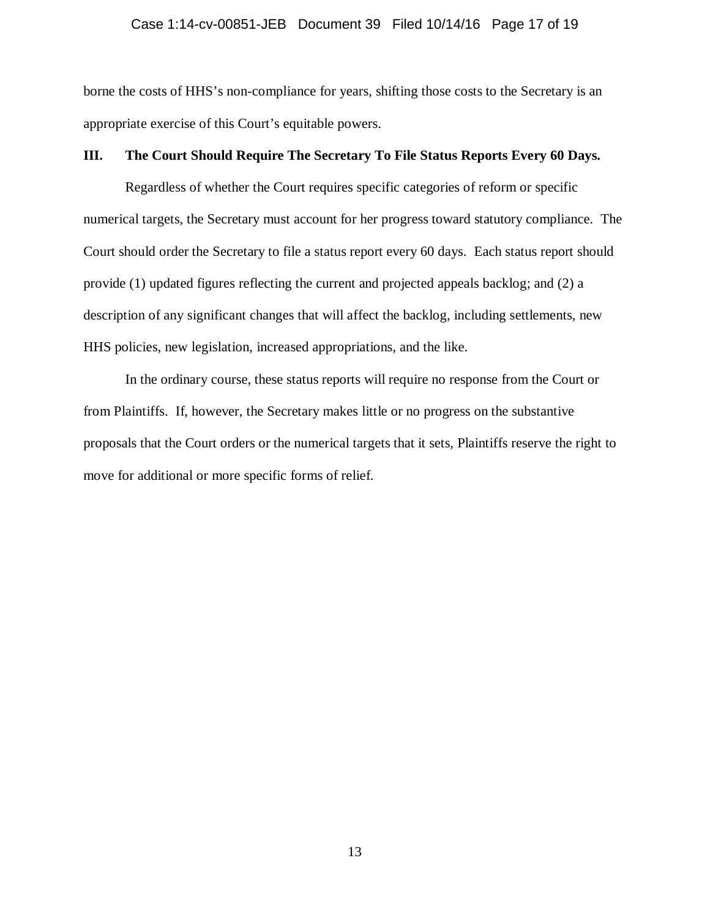### Case 1:14-cv-00851-JEB Document 39 Filed 10/14/16 Page 17 of 19

borne the costs of HHS's non-compliance for years, shifting those costs to the Secretary is an appropriate exercise of this Court's equitable powers.

## **III. The Court Should Require The Secretary To File Status Reports Every 60 Days.**

 Regardless of whether the Court requires specific categories of reform or specific numerical targets, the Secretary must account for her progress toward statutory compliance. The Court should order the Secretary to file a status report every 60 days. Each status report should provide (1) updated figures reflecting the current and projected appeals backlog; and (2) a description of any significant changes that will affect the backlog, including settlements, new HHS policies, new legislation, increased appropriations, and the like.

In the ordinary course, these status reports will require no response from the Court or from Plaintiffs. If, however, the Secretary makes little or no progress on the substantive proposals that the Court orders or the numerical targets that it sets, Plaintiffs reserve the right to move for additional or more specific forms of relief.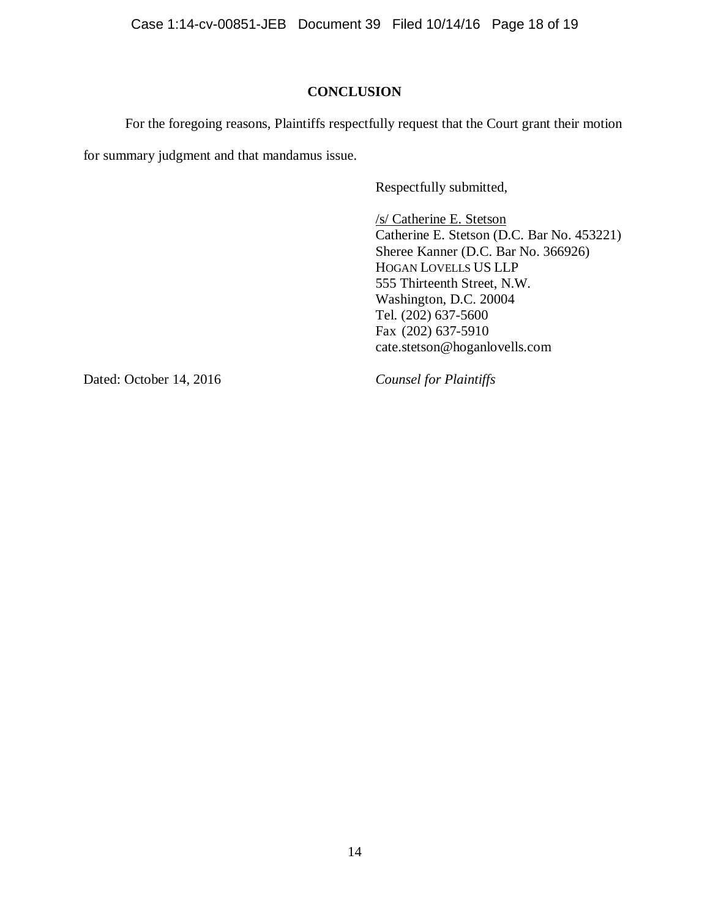Case 1:14-cv-00851-JEB Document 39 Filed 10/14/16 Page 18 of 19

## **CONCLUSION**

 For the foregoing reasons, Plaintiffs respectfully request that the Court grant their motion for summary judgment and that mandamus issue.

Respectfully submitted,

 /s/ Catherine E. Stetson Catherine E. Stetson (D.C. Bar No. 453221) Sheree Kanner (D.C. Bar No. 366926) HOGAN LOVELLS US LLP 555 Thirteenth Street, N.W. Washington, D.C. 20004 Tel. (202) 637-5600 Fax (202) 637-5910 cate.stetson@hoganlovells.com

Dated: October 14, 2016 *Counsel for Plaintiffs*